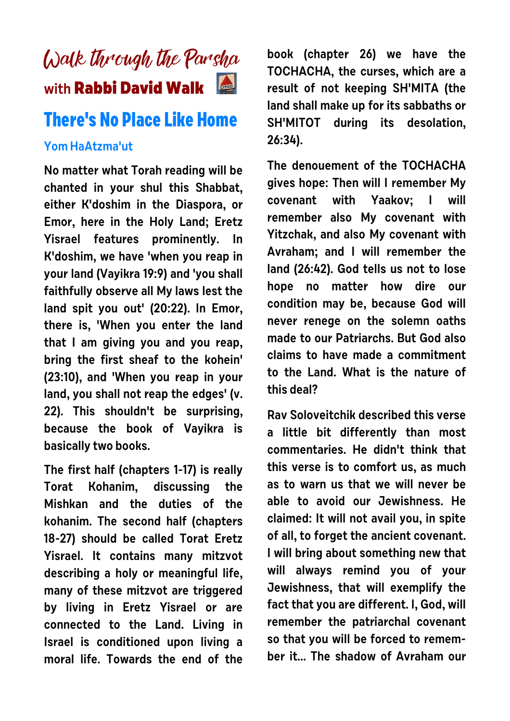## Walk through the Parsha **with Rabbi David Walk**

## **There's No Place Like Home**

## **Yom HaAtzma'ut**

**No matter what Torah reading will be chanted in your shul this Shabbat, either K'doshim in the Diaspora, or Emor, here in the Holy Land; Eretz Yisrael features prominently. In K'doshim, we have 'when you reap in your land (Vayikra 19:9) and 'you shall faithfully observe all My laws lest the land spit you out' (20:22). In Emor, there is, 'When you enter the land that I am giving you and you reap, bring the first sheaf to the kohein' (23:10), and 'When you reap in your land, you shall not reap the edges' (v. 22). This shouldn't be surprising, because the book of Vayikra is basically two books.** 

**The first half (chapters 1-17) is really Torat Kohanim, discussing the Mishkan and the duties of the kohanim. The second half (chapters 18-27) should be called Torat Eretz Yisrael. It contains many mitzvot describing a holy or meaningful life, many of these mitzvot are triggered by living in Eretz Yisrael or are connected to the Land. Living in Israel is conditioned upon living a moral life. Towards the end of the**

**book (chapter 26) we have the TOCHACHA, the curses, which are a result of not keeping SH'MITA (the land shall make up for its sabbaths or SH'MITOT during its desolation, 26:34).** 

**The denouement of the TOCHACHA gives hope: Then will I remember My covenant with Yaakov; I will remember also My covenant with Yitzchak, and also My covenant with Avraham; and I will remember the land (26:42). God tells us not to lose hope no matter how dire our condition may be, because God will never renege on the solemn oaths made to our Patriarchs. But God also claims to have made a commitment to the Land. What is the nature of this deal?**

**Rav Soloveitchik described this verse a little bit differently than most commentaries. He didn't think that this verse is to comfort us, as much as to warn us that we will never be able to avoid our Jewishness. He claimed: It will not avail you, in spite of all, to forget the ancient covenant. I will bring about something new that will always remind you of your Jewishness, that will exemplify the fact that you are different. I, God, will remember the patriarchal covenant so that you will be forced to remember it... The shadow of Avraham our**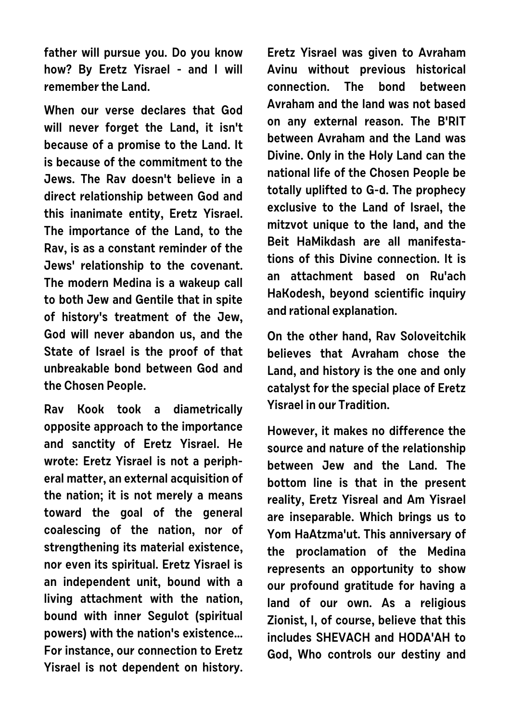**father will pursue you. Do you know how? By Eretz Yisrael - and I will remember the Land.**

**When our verse declares that God will never forget the Land, it isn't because of a promise to the Land. It is because of the commitment to the Jews. The Rav doesn't believe in a direct relationship between God and this inanimate entity, Eretz Yisrael. The importance of the Land, to the Rav, is as a constant reminder of the Jews' relationship to the covenant. The modern Medina is a wakeup call to both Jew and Gentile that in spite of history's treatment of the Jew, God will never abandon us, and the State of Israel is the proof of that unbreakable bond between God and the Chosen People.** 

**Rav Kook took a diametrically opposite approach to the importance and sanctity of Eretz Yisrael. He wrote: Eretz Yisrael is not a peripheral matter, an external acquisition of the nation; it is not merely a means toward the goal of the general coalescing of the nation, nor of strengthening its material existence, nor even its spiritual. Eretz Yisrael is an independent unit, bound with a living attachment with the nation, bound with inner Segulot (spiritual powers) with the nation's existence... For instance, our connection to Eretz Yisrael is not dependent on history.** **Eretz Yisrael was given to Avraham Avinu without previous historical connection. The bond between Avraham and the land was not based on any external reason. The B'RIT between Avraham and the Land was Divine. Only in the Holy Land can the national life of the Chosen People be totally uplifted to G-d. The prophecy exclusive to the Land of Israel, the mitzvot unique to the land, and the Beit HaMikdash are all manifestations of this Divine connection. It is an attachment based on Ru'ach HaKodesh, beyond scientific inquiry and rational explanation.**

**On the other hand, Rav Soloveitchik believes that Avraham chose the Land, and history is the one and only catalyst for the special place of Eretz Yisrael in our Tradition.** 

**However, it makes no difference the source and nature of the relationship between Jew and the Land. The bottom line is that in the present reality, Eretz Yisreal and Am Yisrael are inseparable. Which brings us to Yom HaAtzma'ut. This anniversary of the proclamation of the Medina represents an opportunity to show our profound gratitude for having a land of our own. As a religious Zionist, I, of course, believe that this includes SHEVACH and HODA'AH to God, Who controls our destiny and**